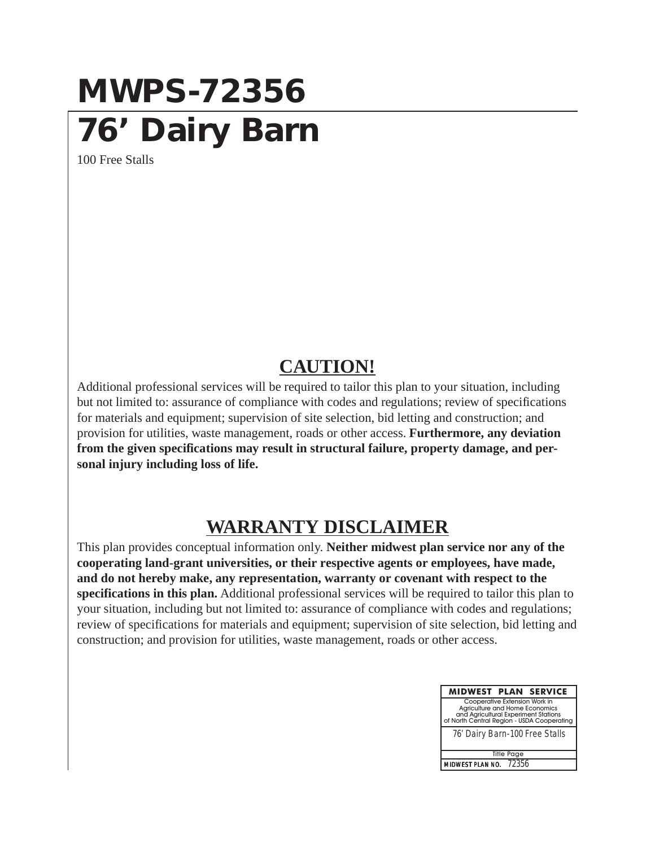## **MWPS-72356 76' Dairy Barn**

100 Free Stalls

## **CAUTION!**

Additional professional services will be required to tailor this plan to your situation, including but not limited to: assurance of compliance with codes and regulations; review of specifications for materials and equipment; supervision of site selection, bid letting and construction; and provision for utilities, waste management, roads or other access. **Furthermore, any deviation from the given specifications may result in structural failure, property damage, and personal injury including loss of life.**

## **WARRANTY DISCLAIMER**

This plan provides conceptual information only. **Neither midwest plan service nor any of the cooperating land-grant universities, or their respective agents or employees, have made, and do not hereby make, any representation, warranty or covenant with respect to the specifications in this plan.** Additional professional services will be required to tailor this plan to your situation, including but not limited to: assurance of compliance with codes and regulations; review of specifications for materials and equipment; supervision of site selection, bid letting and construction; and provision for utilities, waste management, roads or other access.

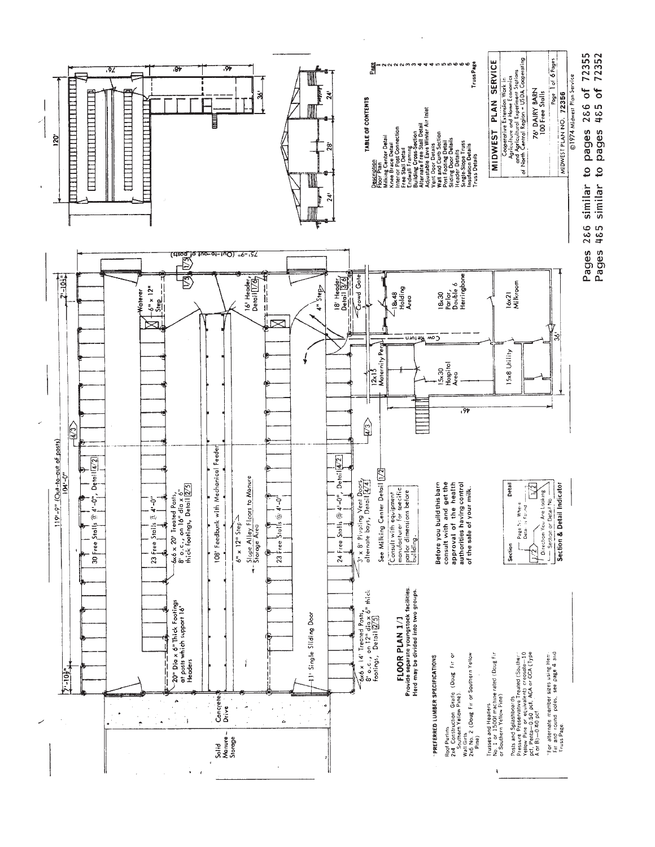

Pages 485 similar to pages 485 of 72352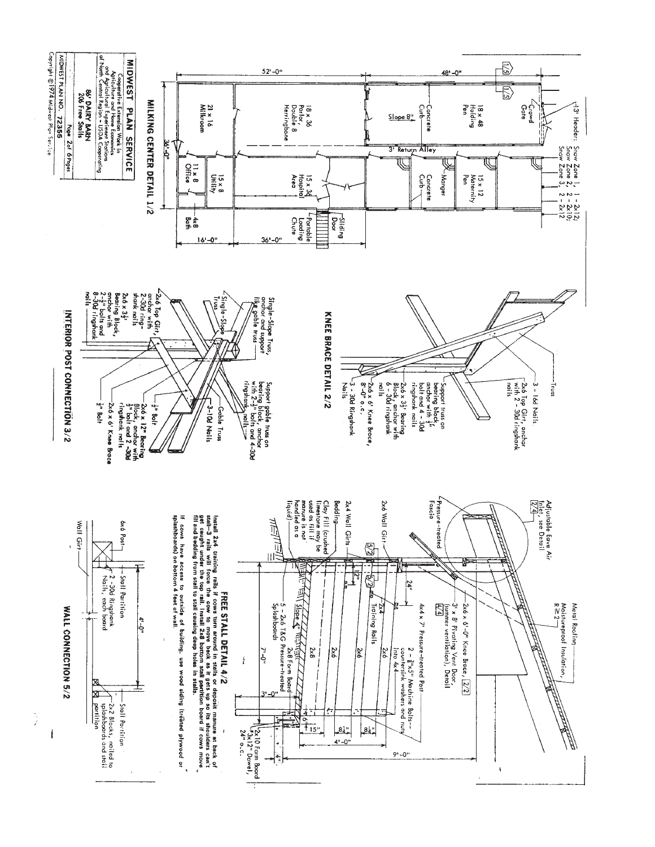

 $24$ 

 $4 - 0$ 

┪┷

Ť

 $\frac{81}{4}$ 

 $9 - 0$ "

À

 $\overline{1}$ 

ÿ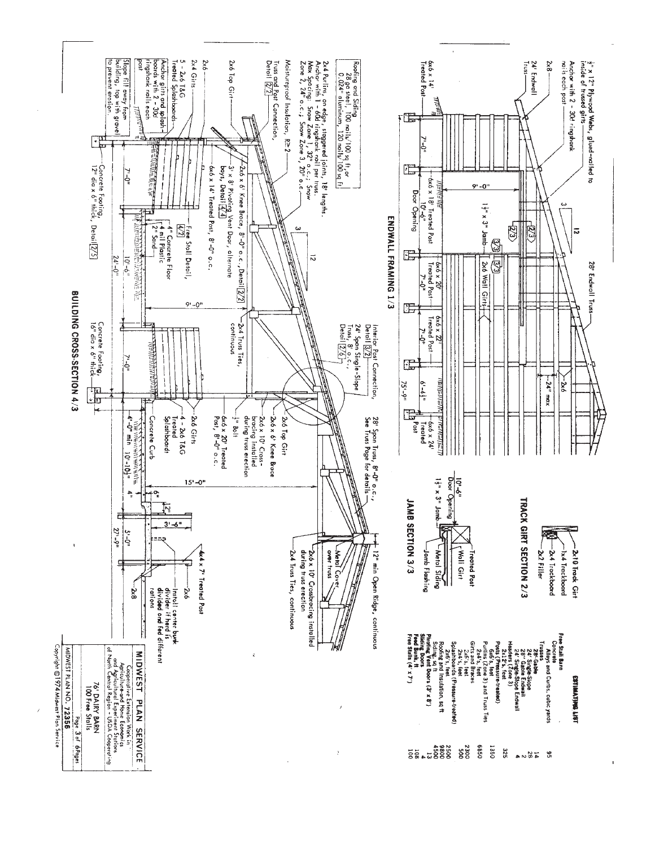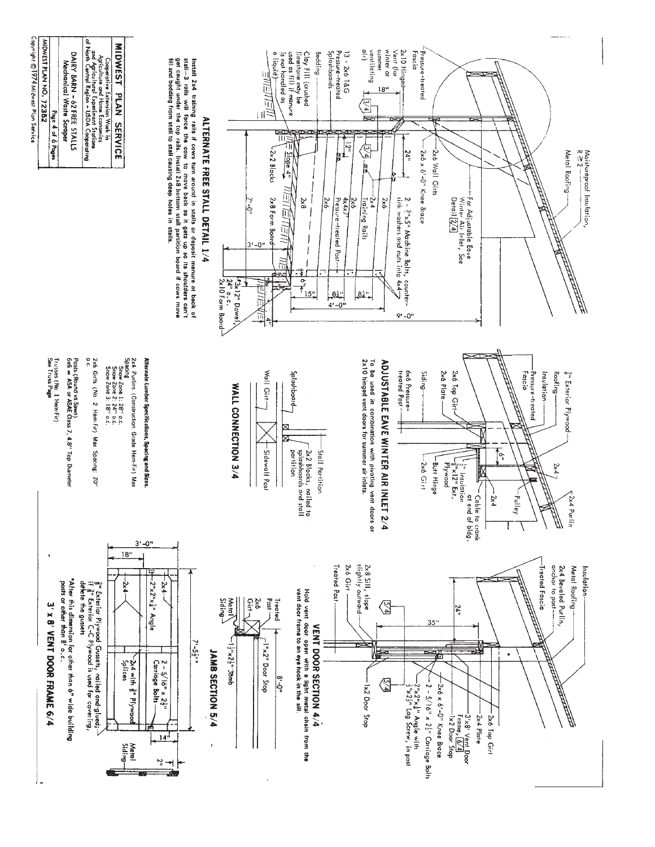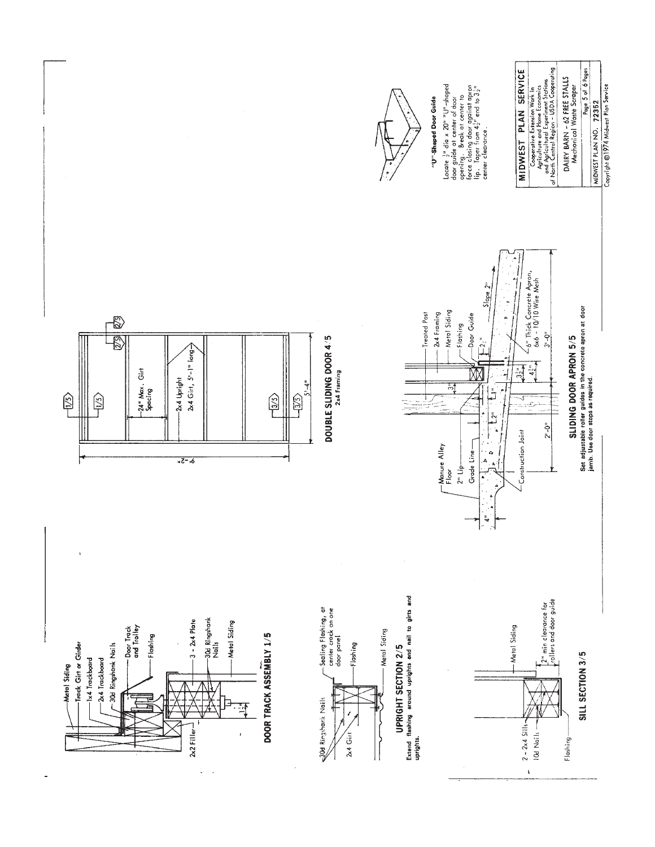